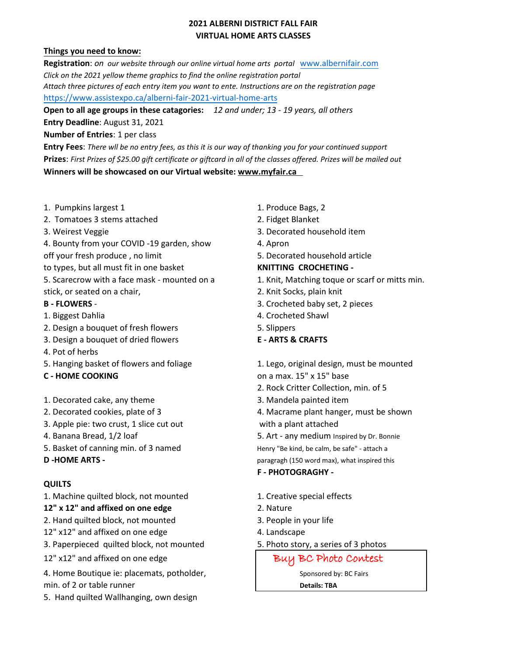# **2021 ALBERNI DISTRICT FALL FAIR VIRTUAL HOME ARTS CLASSES**

### **Things you need to know:**

**Registration**: *on our website through our online virtual home arts portal* [www.albernifair.com](http://www.albernifair.com/) *Click on the 2021 yellow theme graphics to find the online registration portal Attach three pictures of each entry item you want to ente. Instructions are on the registration page* <https://www.assistexpo.ca/alberni-fair-2021-virtual-home-arts>

**Open to all age groups in these catagories:** *12 and under; 13 - 19 years, all others*

**Entry Deadline**: August 31, 2021

### **Number of Entries**: 1 per class

**Entry Fees**: *There wll be no entry fees, as this it is our way of thanking you for your continued support* **Prizes**: *First Prizes of \$25.00 gift certificate or giftcard in all of the classes offered. Prizes will be mailed out* **Winners will be showcased on our Virtual website: www.myfair.ca**

- 1. Pumpkins largest 1 1. Produce Bags, 2
- 2. Tomatoes 3 stems attached 2. Fidget Blanket
- 
- 4. Bounty from your COVID -19 garden, show 4. Apron
- 
- to types, but all must fit in one basket **KNITTING CROCHETING -**
- stick, or seated on a chair, 2. Knit Socks, plain knit

- 
- 2. Design a bouquet of fresh flowers The State State States States States States States States States States S
- 3. Design a bouquet of dried flowers **E ARTS & CRAFTS**
- 4. Pot of herbs
- 
- 
- 1. Decorated cake, any theme 3. Mandela painted item
- 
- 3. Apple pie: two crust, 1 slice cut out with a plant attached
- 
- 5. Basket of canning min. of 3 named Henry "Be kind, be calm, be safe" attach a
- 

## **QUILTS**

1. Machine quilted block, not mounted 1. Creative special effects

## **12" x 12" and affixed on one edge** 2. Nature

- 2. Hand quilted block, not mounted 3. People in your life
- 12" x12" and affixed on one edge 4. Landscape
- 3. Paperpieced quilted block, not mounted 5. Photo story, a series of 3 photos
- 12" x12" and affixed on one edge and a set of the Buy BC Photo Contest
- 4. Home Boutique ie: placemats, potholder, The Sponsored by: BC Fairs
- min. of 2 or table runner **Details: TBA**
- 5. Hand quilted Wallhanging, own design
- 
- 
- 3. Weirest Veggie 3. Decorated household item
	-
- off your fresh produce , no limit 5. Decorated household article

- 5. Scarecrow with a face mask mounted on a 1. Knit, Matching toque or scarf or mitts min.
	-
- **B FLOWERS**  3. Crocheted baby set, 2 pieces
- 1. Biggest Dahlia 1. Biggest Dahlia
	-
	-
- 5. Hanging basket of flowers and foliage 1. Lego, original design, must be mounted **C - HOME COOKING C - HOME COOKING** 
	- 2. Rock Critter Collection, min. of 5
	-
- 2. Decorated cookies, plate of 3 4. Macrame plant hanger, must be shown
	-
- 4. Banana Bread, 1/2 loaf 5. Art any medium Inspired by Dr. Bonnie

**D -HOME ARTS - Paragragh (150 word max), what inspired this** 

- **F PHOTOGRAGHY -**
- 
- 
- 
- 
-